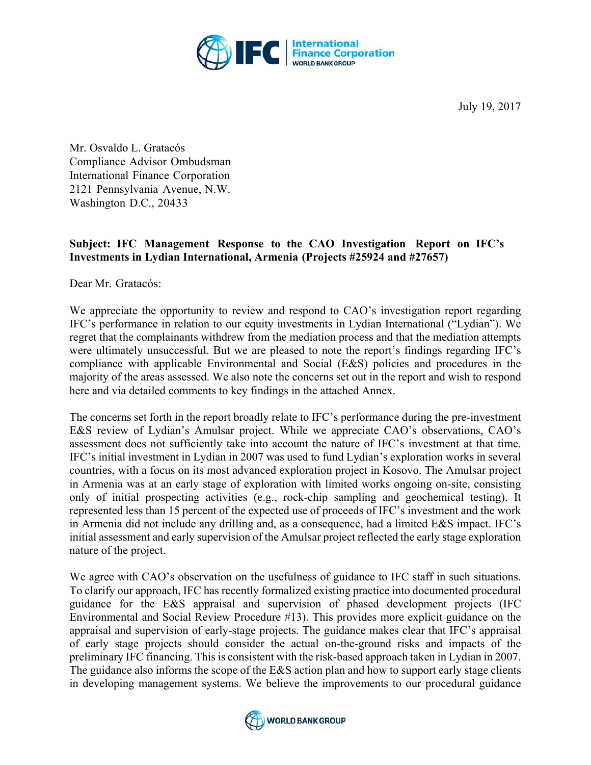

Mr. Osvaldo L. Gratacós Compliance Advisor Ombudsman International Finance Corporation 2121 Pennsylvania Avenue, N.W. Washington D.C., 20433

## **Subject: IFC Management Response to the CAO Investigation Report on IFC's Investments in Lydian International, Armenia (Projects #25924 and #27657)**

Dear Mr. Gratacós:

We appreciate the opportunity to review and respond to CAO's investigation report regarding IFC's performance in relation to our equity investments in Lydian International ("Lydian"). We regret that the complainants withdrew from the mediation process and that the mediation attempts were ultimately unsuccessful. But we are pleased to note the report's findings regarding IFC's compliance with applicable Environmental and Social (E&S) policies and procedures in the majority of the areas assessed. We also note the concerns set out in the report and wish to respond here and via detailed comments to key findings in the attached Annex.

The concerns set forth in the report broadly relate to IFC's performance during the pre-investment E&S review of Lydian's Amulsar project. While we appreciate CAO's observations, CAO's assessment does not sufficiently take into account the nature of IFC's investment at that time. IFC's initial investment in Lydian in 2007 was used to fund Lydian's exploration works in several countries, with a focus on its most advanced exploration project in Kosovo. The Amulsar project in Armenia was at an early stage of exploration with limited works ongoing on-site, consisting only of initial prospecting activities (e.g., rock-chip sampling and geochemical testing). It represented less than 15 percent of the expected use of proceeds of IFC's investment and the work in Armenia did not include any drilling and, as a consequence, had a limited E&S impact. IFC's initial assessment and early supervision of the Amulsar project reflected the early stage exploration nature of the project.

We agree with CAO's observation on the usefulness of guidance to IFC staff in such situations. To clarify our approach, IFC has recently formalized existing practice into documented procedural guidance for the E&S appraisal and supervision of phased development projects (IFC Environmental and Social Review Procedure #13). This provides more explicit guidance on the appraisal and supervision of early-stage projects. The guidance makes clear that IFC's appraisal of early stage projects should consider the actual on-the-ground risks and impacts of the preliminary IFC financing. This is consistent with the risk-based approach taken in Lydian in 2007. The guidance also informs the scope of the E&S action plan and how to support early stage clients in developing management systems. We believe the improvements to our procedural guidance

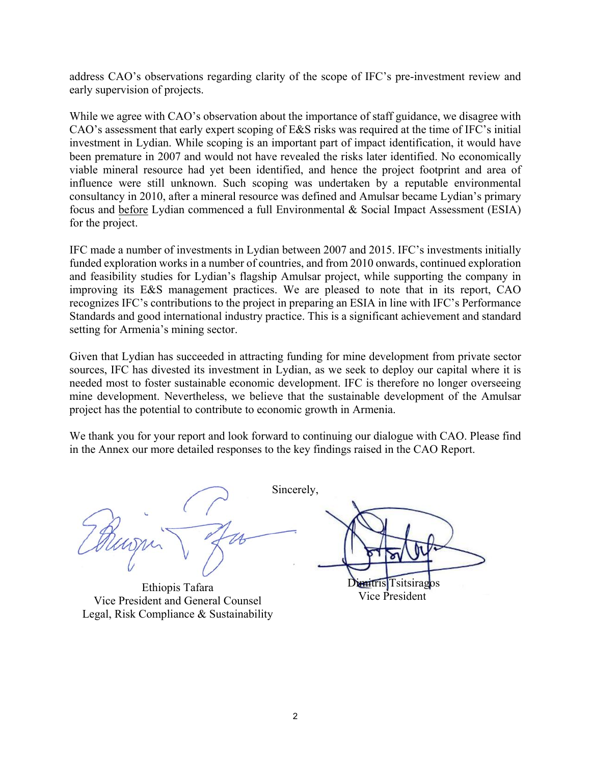address CAO's observations regarding clarity of the scope of IFC's pre-investment review and early supervision of projects.

While we agree with CAO's observation about the importance of staff guidance, we disagree with CAO's assessment that early expert scoping of E&S risks was required at the time of IFC's initial investment in Lydian. While scoping is an important part of impact identification, it would have been premature in 2007 and would not have revealed the risks later identified. No economically viable mineral resource had yet been identified, and hence the project footprint and area of influence were still unknown. Such scoping was undertaken by a reputable environmental consultancy in 2010, after a mineral resource was defined and Amulsar became Lydian's primary focus and before Lydian commenced a full Environmental & Social Impact Assessment (ESIA) for the project.

IFC made a number of investments in Lydian between 2007 and 2015. IFC's investments initially funded exploration works in a number of countries, and from 2010 onwards, continued exploration and feasibility studies for Lydian's flagship Amulsar project, while supporting the company in improving its E&S management practices. We are pleased to note that in its report, CAO recognizes IFC's contributions to the project in preparing an ESIA in line with IFC's Performance Standards and good international industry practice. This is a significant achievement and standard setting for Armenia's mining sector.

Given that Lydian has succeeded in attracting funding for mine development from private sector sources, IFC has divested its investment in Lydian, as we seek to deploy our capital where it is needed most to foster sustainable economic development. IFC is therefore no longer overseeing mine development. Nevertheless, we believe that the sustainable development of the Amulsar project has the potential to contribute to economic growth in Armenia.

We thank you for your report and look forward to continuing our dialogue with CAO. Please find in the Annex our more detailed responses to the key findings raised in the CAO Report.

Sincerely,

Ethiopis Tafara<br>Vice President and General Counsel Vice President Legal, Risk Compliance & Sustainability

Ethiopis Tafara **Dimitris Tsitsiragos**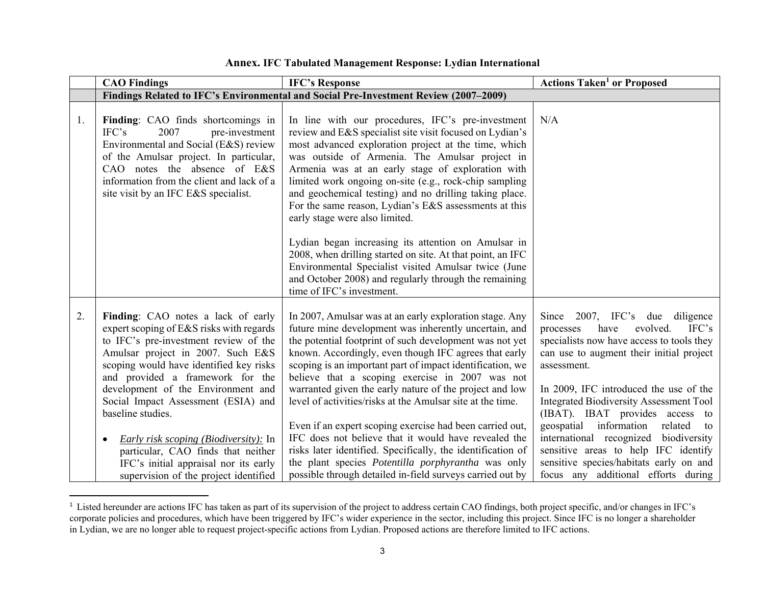|    | <b>CAO Findings</b>                                                                                                                                                                                                                                                                                                                                                                                                                                                                                                                | <b>IFC's Response</b>                                                                                                                                                                                                                                                                                                                                                                                                                                                                                                                                                                                                                                                                                                                                                                                                                                                     | <b>Actions Taken<sup>1</sup> or Proposed</b>                                                                                                                                                                                                                                                                                                                                                                                                                                                                                |
|----|------------------------------------------------------------------------------------------------------------------------------------------------------------------------------------------------------------------------------------------------------------------------------------------------------------------------------------------------------------------------------------------------------------------------------------------------------------------------------------------------------------------------------------|---------------------------------------------------------------------------------------------------------------------------------------------------------------------------------------------------------------------------------------------------------------------------------------------------------------------------------------------------------------------------------------------------------------------------------------------------------------------------------------------------------------------------------------------------------------------------------------------------------------------------------------------------------------------------------------------------------------------------------------------------------------------------------------------------------------------------------------------------------------------------|-----------------------------------------------------------------------------------------------------------------------------------------------------------------------------------------------------------------------------------------------------------------------------------------------------------------------------------------------------------------------------------------------------------------------------------------------------------------------------------------------------------------------------|
|    |                                                                                                                                                                                                                                                                                                                                                                                                                                                                                                                                    | Findings Related to IFC's Environmental and Social Pre-Investment Review (2007–2009)                                                                                                                                                                                                                                                                                                                                                                                                                                                                                                                                                                                                                                                                                                                                                                                      |                                                                                                                                                                                                                                                                                                                                                                                                                                                                                                                             |
| 1. | Finding: CAO finds shortcomings in<br>IFC's<br>2007<br>pre-investment<br>Environmental and Social (E&S) review<br>of the Amulsar project. In particular,<br>CAO notes the absence of E&S<br>information from the client and lack of a<br>site visit by an IFC E&S specialist.                                                                                                                                                                                                                                                      | In line with our procedures, IFC's pre-investment<br>review and E&S specialist site visit focused on Lydian's<br>most advanced exploration project at the time, which<br>was outside of Armenia. The Amulsar project in<br>Armenia was at an early stage of exploration with<br>limited work ongoing on-site (e.g., rock-chip sampling<br>and geochemical testing) and no drilling taking place.<br>For the same reason, Lydian's E&S assessments at this<br>early stage were also limited.<br>Lydian began increasing its attention on Amulsar in<br>2008, when drilling started on site. At that point, an IFC<br>Environmental Specialist visited Amulsar twice (June                                                                                                                                                                                                  | N/A                                                                                                                                                                                                                                                                                                                                                                                                                                                                                                                         |
| 2. | Finding: CAO notes a lack of early<br>expert scoping of E&S risks with regards<br>to IFC's pre-investment review of the<br>Amulsar project in 2007. Such E&S<br>scoping would have identified key risks<br>and provided a framework for the<br>development of the Environment and<br>Social Impact Assessment (ESIA) and<br>baseline studies.<br><i>Early risk scoping (Biodiversity):</i> In<br>$\bullet$<br>particular, CAO finds that neither<br>IFC's initial appraisal nor its early<br>supervision of the project identified | and October 2008) and regularly through the remaining<br>time of IFC's investment.<br>In 2007, Amulsar was at an early exploration stage. Any<br>future mine development was inherently uncertain, and<br>the potential footprint of such development was not yet<br>known. Accordingly, even though IFC agrees that early<br>scoping is an important part of impact identification, we<br>believe that a scoping exercise in 2007 was not<br>warranted given the early nature of the project and low<br>level of activities/risks at the Amulsar site at the time.<br>Even if an expert scoping exercise had been carried out,<br>IFC does not believe that it would have revealed the<br>risks later identified. Specifically, the identification of<br>the plant species Potentilla porphyrantha was only<br>possible through detailed in-field surveys carried out by | Since 2007, IFC's due diligence<br>evolved.<br>have<br>IFC's<br>processes<br>specialists now have access to tools they<br>can use to augment their initial project<br>assessment.<br>In 2009, IFC introduced the use of the<br><b>Integrated Biodiversity Assessment Tool</b><br>(IBAT). IBAT provides access to<br>geospatial information related<br>to<br>international recognized biodiversity<br>sensitive areas to help IFC identify<br>sensitive species/habitats early on and<br>focus any additional efforts during |

## **Annex. IFC Tabulated Management Response: Lydian International**

 $1$  Listed hereunder are actions IFC has taken as part of its supervision of the project to address certain CAO findings, both project specific, and/or changes in IFC's corporate policies and procedures, which have been triggered by IFC's wider experience in the sector, including this project. Since IFC is no longer a shareholder in Lydian, we are no longer able to request project-specific actions from Lydian. Proposed actions are therefore limited to IFC actions.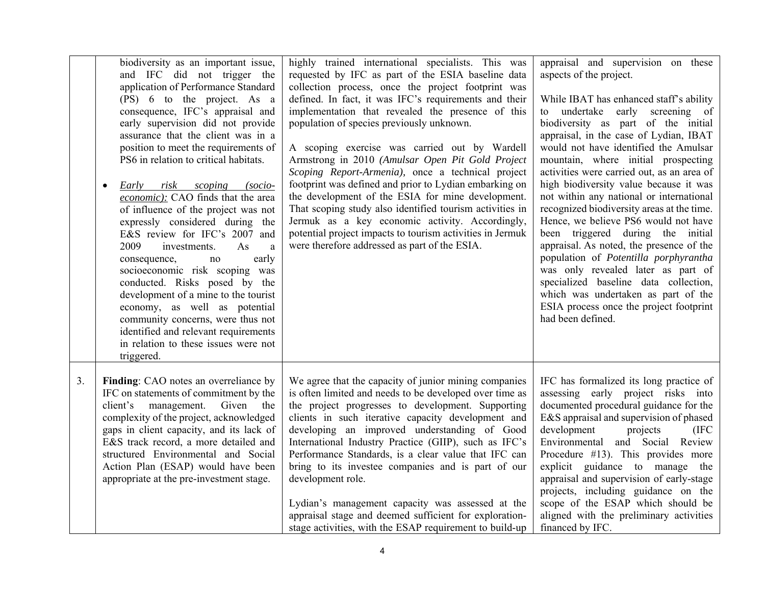|    | biodiversity as an important issue,<br>and IFC did not trigger the<br>application of Performance Standard<br>(PS) 6 to the project. As a<br>consequence, IFC's appraisal and<br>early supervision did not provide<br>assurance that the client was in a<br>position to meet the requirements of<br>PS6 in relation to critical habitats.<br>scoping<br>Early<br>risk<br>$(socio-$<br>$\bullet$<br>economic): CAO finds that the area<br>of influence of the project was not<br>expressly considered during the<br>E&S review for IFC's 2007 and<br>2009<br>investments.<br>As<br>a<br>early<br>consequence,<br>no<br>socioeconomic risk scoping was<br>conducted. Risks posed by the<br>development of a mine to the tourist<br>economy, as well as potential<br>community concerns, were thus not<br>identified and relevant requirements<br>in relation to these issues were not<br>triggered. | highly trained international specialists. This was<br>requested by IFC as part of the ESIA baseline data<br>collection process, once the project footprint was<br>defined. In fact, it was IFC's requirements and their<br>implementation that revealed the presence of this<br>population of species previously unknown.<br>A scoping exercise was carried out by Wardell<br>Armstrong in 2010 (Amulsar Open Pit Gold Project<br>Scoping Report-Armenia), once a technical project<br>footprint was defined and prior to Lydian embarking on<br>the development of the ESIA for mine development.<br>That scoping study also identified tourism activities in<br>Jermuk as a key economic activity. Accordingly,<br>potential project impacts to tourism activities in Jermuk<br>were therefore addressed as part of the ESIA. | appraisal and supervision on these<br>aspects of the project.<br>While IBAT has enhanced staff's ability<br>to undertake early screening of<br>biodiversity as part of the initial<br>appraisal, in the case of Lydian, IBAT<br>would not have identified the Amulsar<br>mountain, where initial prospecting<br>activities were carried out, as an area of<br>high biodiversity value because it was<br>not within any national or international<br>recognized biodiversity areas at the time.<br>Hence, we believe PS6 would not have<br>been triggered during the initial<br>appraisal. As noted, the presence of the<br>population of Potentilla porphyrantha<br>was only revealed later as part of<br>specialized baseline data collection,<br>which was undertaken as part of the<br>ESIA process once the project footprint<br>had been defined. |
|----|--------------------------------------------------------------------------------------------------------------------------------------------------------------------------------------------------------------------------------------------------------------------------------------------------------------------------------------------------------------------------------------------------------------------------------------------------------------------------------------------------------------------------------------------------------------------------------------------------------------------------------------------------------------------------------------------------------------------------------------------------------------------------------------------------------------------------------------------------------------------------------------------------|---------------------------------------------------------------------------------------------------------------------------------------------------------------------------------------------------------------------------------------------------------------------------------------------------------------------------------------------------------------------------------------------------------------------------------------------------------------------------------------------------------------------------------------------------------------------------------------------------------------------------------------------------------------------------------------------------------------------------------------------------------------------------------------------------------------------------------|--------------------------------------------------------------------------------------------------------------------------------------------------------------------------------------------------------------------------------------------------------------------------------------------------------------------------------------------------------------------------------------------------------------------------------------------------------------------------------------------------------------------------------------------------------------------------------------------------------------------------------------------------------------------------------------------------------------------------------------------------------------------------------------------------------------------------------------------------------|
| 3. | Finding: CAO notes an overreliance by<br>IFC on statements of commitment by the<br>Given the<br>client's management.<br>complexity of the project, acknowledged<br>gaps in client capacity, and its lack of<br>E&S track record, a more detailed and<br>structured Environmental and Social<br>Action Plan (ESAP) would have been<br>appropriate at the pre-investment stage.                                                                                                                                                                                                                                                                                                                                                                                                                                                                                                                    | We agree that the capacity of junior mining companies<br>is often limited and needs to be developed over time as<br>the project progresses to development. Supporting<br>clients in such iterative capacity development and<br>developing an improved understanding of Good<br>International Industry Practice (GIIP), such as IFC's<br>Performance Standards, is a clear value that IFC can<br>bring to its investee companies and is part of our<br>development role.<br>Lydian's management capacity was assessed at the<br>appraisal stage and deemed sufficient for exploration-<br>stage activities, with the ESAP requirement to build-up                                                                                                                                                                                | IFC has formalized its long practice of<br>assessing early project risks into<br>documented procedural guidance for the<br>E&S appraisal and supervision of phased<br>development<br>projects<br>(IFC)<br>Environmental and Social Review<br>Procedure #13). This provides more<br>explicit guidance to manage the<br>appraisal and supervision of early-stage<br>projects, including guidance on the<br>scope of the ESAP which should be<br>aligned with the preliminary activities<br>financed by IFC.                                                                                                                                                                                                                                                                                                                                              |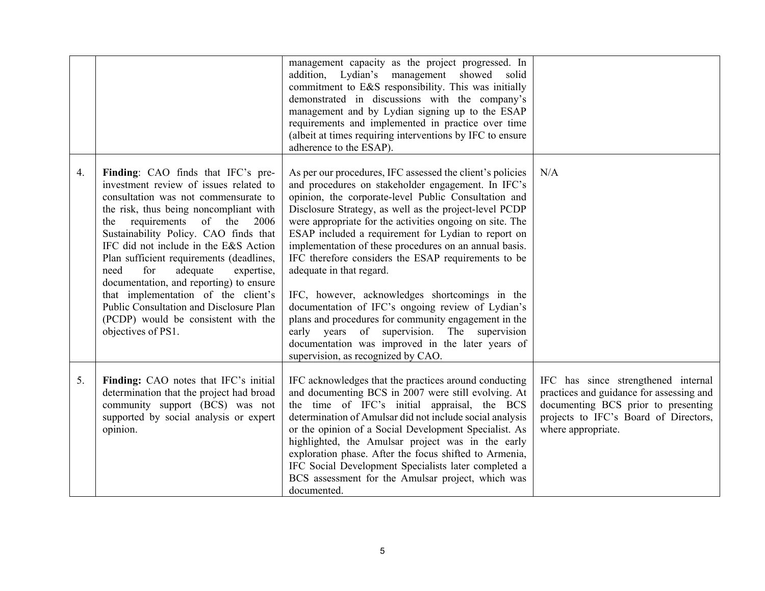|    |                                                                                                                                                                                                                                                                                                                                                                                                                                                                                                                                                                          | management capacity as the project progressed. In<br>addition, Lydian's management showed solid<br>commitment to E&S responsibility. This was initially<br>demonstrated in discussions with the company's<br>management and by Lydian signing up to the ESAP<br>requirements and implemented in practice over time<br>(albeit at times requiring interventions by IFC to ensure<br>adherence to the ESAP).                                                                                                                                                                                                                                                                                                                                                                                                |                                                                                                                                                                                       |
|----|--------------------------------------------------------------------------------------------------------------------------------------------------------------------------------------------------------------------------------------------------------------------------------------------------------------------------------------------------------------------------------------------------------------------------------------------------------------------------------------------------------------------------------------------------------------------------|-----------------------------------------------------------------------------------------------------------------------------------------------------------------------------------------------------------------------------------------------------------------------------------------------------------------------------------------------------------------------------------------------------------------------------------------------------------------------------------------------------------------------------------------------------------------------------------------------------------------------------------------------------------------------------------------------------------------------------------------------------------------------------------------------------------|---------------------------------------------------------------------------------------------------------------------------------------------------------------------------------------|
| 4. | Finding: CAO finds that IFC's pre-<br>investment review of issues related to<br>consultation was not commensurate to<br>the risk, thus being noncompliant with<br>requirements<br>of the<br>the<br>2006<br>Sustainability Policy. CAO finds that<br>IFC did not include in the E&S Action<br>Plan sufficient requirements (deadlines,<br>need<br>for<br>adequate<br>expertise,<br>documentation, and reporting) to ensure<br>that implementation of the client's<br>Public Consultation and Disclosure Plan<br>(PCDP) would be consistent with the<br>objectives of PS1. | As per our procedures, IFC assessed the client's policies<br>and procedures on stakeholder engagement. In IFC's<br>opinion, the corporate-level Public Consultation and<br>Disclosure Strategy, as well as the project-level PCDP<br>were appropriate for the activities ongoing on site. The<br>ESAP included a requirement for Lydian to report on<br>implementation of these procedures on an annual basis.<br>IFC therefore considers the ESAP requirements to be<br>adequate in that regard.<br>IFC, however, acknowledges shortcomings in the<br>documentation of IFC's ongoing review of Lydian's<br>plans and procedures for community engagement in the<br>early years of supervision. The supervision<br>documentation was improved in the later years of<br>supervision, as recognized by CAO. | N/A                                                                                                                                                                                   |
| 5. | Finding: CAO notes that IFC's initial<br>determination that the project had broad<br>community support (BCS) was not<br>supported by social analysis or expert<br>opinion.                                                                                                                                                                                                                                                                                                                                                                                               | IFC acknowledges that the practices around conducting<br>and documenting BCS in 2007 were still evolving. At<br>the time of IFC's initial appraisal, the BCS<br>determination of Amulsar did not include social analysis<br>or the opinion of a Social Development Specialist. As<br>highlighted, the Amulsar project was in the early<br>exploration phase. After the focus shifted to Armenia,<br>IFC Social Development Specialists later completed a<br>BCS assessment for the Amulsar project, which was<br>documented.                                                                                                                                                                                                                                                                              | IFC has since strengthened internal<br>practices and guidance for assessing and<br>documenting BCS prior to presenting<br>projects to IFC's Board of Directors,<br>where appropriate. |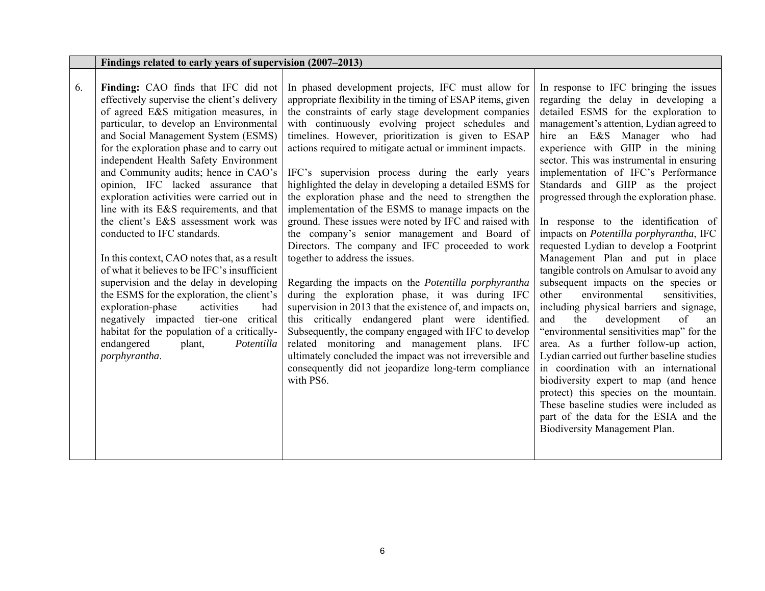|    | Findings related to early years of supervision (2007–2013)                                                                                                                                                                                                                                                                                                                                                                                                                                                                                                                                                                                                                                                                                                                                                                                                                                                                            |                                                                                                                                                                                                                                                                                                                                                                                                                                                                                                                                                                                                                                                                                                                                                                                                                                                                                                                                                                                                                                                                                                                                                                                                                                                        |                                                                                                                                                                                                                                                                                                                                                                                                                                                                                                                                                                                                                                                                                                                                                                                                                                                                                                                                                                                                                                                                                                                                                                                           |
|----|---------------------------------------------------------------------------------------------------------------------------------------------------------------------------------------------------------------------------------------------------------------------------------------------------------------------------------------------------------------------------------------------------------------------------------------------------------------------------------------------------------------------------------------------------------------------------------------------------------------------------------------------------------------------------------------------------------------------------------------------------------------------------------------------------------------------------------------------------------------------------------------------------------------------------------------|--------------------------------------------------------------------------------------------------------------------------------------------------------------------------------------------------------------------------------------------------------------------------------------------------------------------------------------------------------------------------------------------------------------------------------------------------------------------------------------------------------------------------------------------------------------------------------------------------------------------------------------------------------------------------------------------------------------------------------------------------------------------------------------------------------------------------------------------------------------------------------------------------------------------------------------------------------------------------------------------------------------------------------------------------------------------------------------------------------------------------------------------------------------------------------------------------------------------------------------------------------|-------------------------------------------------------------------------------------------------------------------------------------------------------------------------------------------------------------------------------------------------------------------------------------------------------------------------------------------------------------------------------------------------------------------------------------------------------------------------------------------------------------------------------------------------------------------------------------------------------------------------------------------------------------------------------------------------------------------------------------------------------------------------------------------------------------------------------------------------------------------------------------------------------------------------------------------------------------------------------------------------------------------------------------------------------------------------------------------------------------------------------------------------------------------------------------------|
| 6. | Finding: CAO finds that IFC did not<br>effectively supervise the client's delivery<br>of agreed E&S mitigation measures, in<br>particular, to develop an Environmental<br>and Social Management System (ESMS)<br>for the exploration phase and to carry out<br>independent Health Safety Environment<br>and Community audits; hence in CAO's<br>opinion, IFC lacked assurance that<br>exploration activities were carried out in<br>line with its E&S requirements, and that<br>the client's E&S assessment work was<br>conducted to IFC standards.<br>In this context, CAO notes that, as a result<br>of what it believes to be IFC's insufficient<br>supervision and the delay in developing<br>the ESMS for the exploration, the client's<br>exploration-phase<br>activities<br>had<br>negatively impacted tier-one critical<br>habitat for the population of a critically-<br>endangered<br>plant,<br>Potentilla<br>porphyrantha. | In phased development projects, IFC must allow for<br>appropriate flexibility in the timing of ESAP items, given<br>the constraints of early stage development companies<br>with continuously evolving project schedules and<br>timelines. However, prioritization is given to ESAP<br>actions required to mitigate actual or imminent impacts.<br>IFC's supervision process during the early years<br>highlighted the delay in developing a detailed ESMS for<br>the exploration phase and the need to strengthen the<br>implementation of the ESMS to manage impacts on the<br>ground. These issues were noted by IFC and raised with<br>the company's senior management and Board of<br>Directors. The company and IFC proceeded to work<br>together to address the issues.<br>Regarding the impacts on the Potentilla porphyrantha<br>during the exploration phase, it was during IFC<br>supervision in 2013 that the existence of, and impacts on,<br>this critically endangered plant were identified.<br>Subsequently, the company engaged with IFC to develop<br>related monitoring and management plans. IFC<br>ultimately concluded the impact was not irreversible and<br>consequently did not jeopardize long-term compliance<br>with PS6. | In response to IFC bringing the issues<br>regarding the delay in developing a<br>detailed ESMS for the exploration to<br>management's attention, Lydian agreed to<br>hire an E&S Manager who had<br>experience with GIIP in the mining<br>sector. This was instrumental in ensuring<br>implementation of IFC's Performance<br>Standards and GIIP as the project<br>progressed through the exploration phase.<br>In response to the identification of<br>impacts on Potentilla porphyrantha, IFC<br>requested Lydian to develop a Footprint<br>Management Plan and put in place<br>tangible controls on Amulsar to avoid any<br>subsequent impacts on the species or<br>environmental<br>sensitivities,<br>other<br>including physical barriers and signage,<br>development<br>and<br>the<br>of<br>an<br>"environmental sensitivities map" for the<br>area. As a further follow-up action,<br>Lydian carried out further baseline studies<br>in coordination with an international<br>biodiversity expert to map (and hence<br>protect) this species on the mountain.<br>These baseline studies were included as<br>part of the data for the ESIA and the<br>Biodiversity Management Plan. |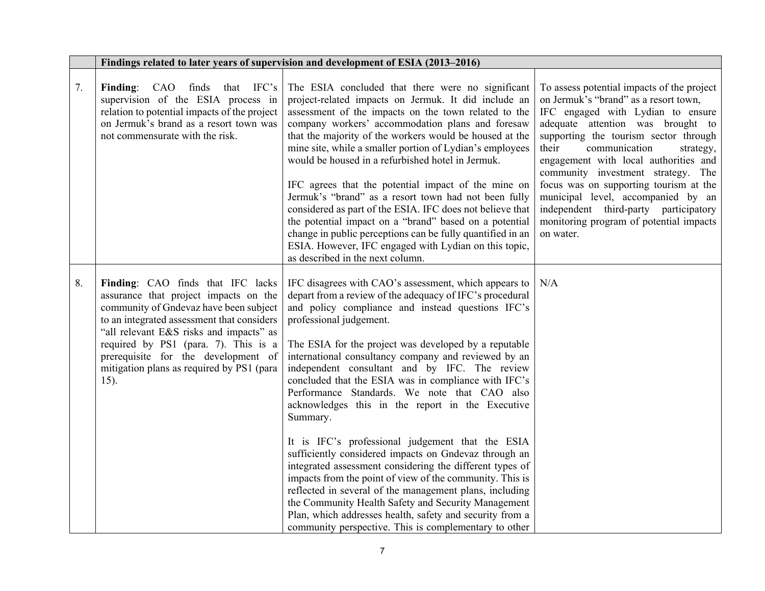|    |                                                                                                                                                                                                                                                                                                                                                   | Findings related to later years of supervision and development of ESIA (2013-2016)                                                                                                                                                                                                                                                                                                                                                                                                                                                                                                                                                                                                                                                                                                                                                                                                                                                                                                                                      |                                                                                                                                                                                                                                                                                                                                                                                                                                                                                                               |
|----|---------------------------------------------------------------------------------------------------------------------------------------------------------------------------------------------------------------------------------------------------------------------------------------------------------------------------------------------------|-------------------------------------------------------------------------------------------------------------------------------------------------------------------------------------------------------------------------------------------------------------------------------------------------------------------------------------------------------------------------------------------------------------------------------------------------------------------------------------------------------------------------------------------------------------------------------------------------------------------------------------------------------------------------------------------------------------------------------------------------------------------------------------------------------------------------------------------------------------------------------------------------------------------------------------------------------------------------------------------------------------------------|---------------------------------------------------------------------------------------------------------------------------------------------------------------------------------------------------------------------------------------------------------------------------------------------------------------------------------------------------------------------------------------------------------------------------------------------------------------------------------------------------------------|
| 7. | Finding: CAO finds that IFC's<br>supervision of the ESIA process in<br>relation to potential impacts of the project<br>on Jermuk's brand as a resort town was<br>not commensurate with the risk.                                                                                                                                                  | The ESIA concluded that there were no significant<br>project-related impacts on Jermuk. It did include an<br>assessment of the impacts on the town related to the<br>company workers' accommodation plans and foresaw<br>that the majority of the workers would be housed at the<br>mine site, while a smaller portion of Lydian's employees<br>would be housed in a refurbished hotel in Jermuk.<br>IFC agrees that the potential impact of the mine on<br>Jermuk's "brand" as a resort town had not been fully<br>considered as part of the ESIA. IFC does not believe that<br>the potential impact on a "brand" based on a potential<br>change in public perceptions can be fully quantified in an<br>ESIA. However, IFC engaged with Lydian on this topic,<br>as described in the next column.                                                                                                                                                                                                                      | To assess potential impacts of the project<br>on Jermuk's "brand" as a resort town,<br>IFC engaged with Lydian to ensure<br>adequate attention was brought to<br>supporting the tourism sector through<br>their<br>communication<br>strategy,<br>engagement with local authorities and<br>community investment strategy. The<br>focus was on supporting tourism at the<br>municipal level, accompanied by an<br>independent third-party participatory<br>monitoring program of potential impacts<br>on water. |
| 8. | Finding: CAO finds that IFC lacks<br>assurance that project impacts on the<br>community of Gndevaz have been subject<br>to an integrated assessment that considers<br>"all relevant E&S risks and impacts" as<br>required by PS1 (para. 7). This is a<br>prerequisite for the development of<br>mitigation plans as required by PS1 (para<br>15). | IFC disagrees with CAO's assessment, which appears to<br>depart from a review of the adequacy of IFC's procedural<br>and policy compliance and instead questions IFC's<br>professional judgement.<br>The ESIA for the project was developed by a reputable<br>international consultancy company and reviewed by an<br>independent consultant and by IFC. The review<br>concluded that the ESIA was in compliance with IFC's<br>Performance Standards. We note that CAO also<br>acknowledges this in the report in the Executive<br>Summary.<br>It is IFC's professional judgement that the ESIA<br>sufficiently considered impacts on Gndevaz through an<br>integrated assessment considering the different types of<br>impacts from the point of view of the community. This is<br>reflected in several of the management plans, including<br>the Community Health Safety and Security Management<br>Plan, which addresses health, safety and security from a<br>community perspective. This is complementary to other | N/A                                                                                                                                                                                                                                                                                                                                                                                                                                                                                                           |